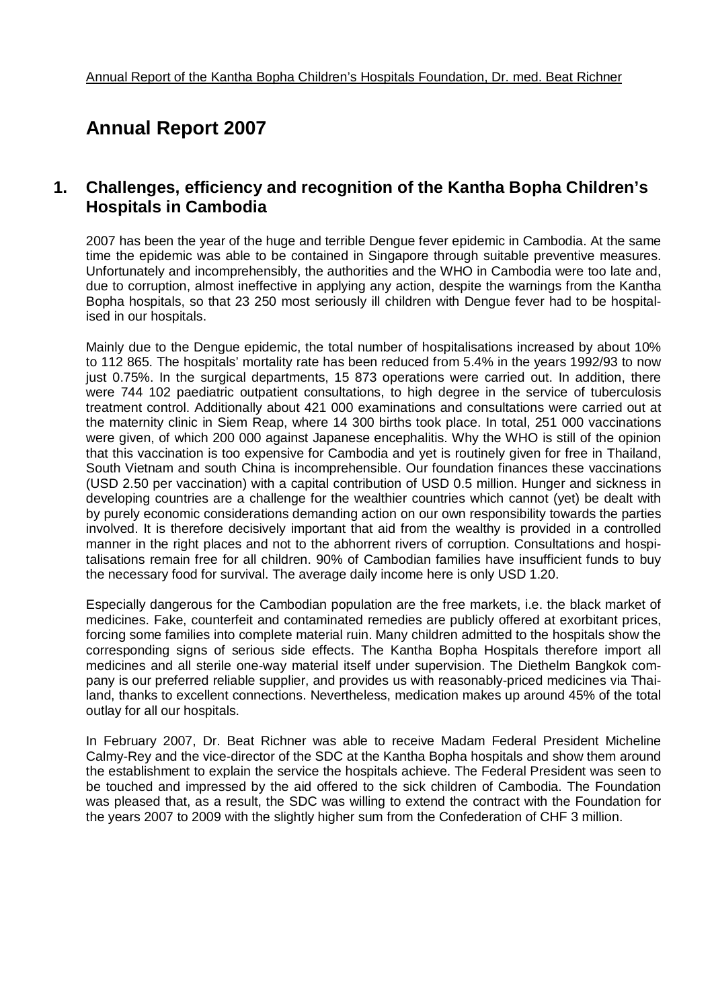# **Annual Report 2007**

### **1. Challenges, efficiency and recognition of the Kantha Bopha Children's Hospitals in Cambodia**

2007 has been the year of the huge and terrible Dengue fever epidemic in Cambodia. At the same time the epidemic was able to be contained in Singapore through suitable preventive measures. Unfortunately and incomprehensibly, the authorities and the WHO in Cambodia were too late and, due to corruption, almost ineffective in applying any action, despite the warnings from the Kantha Bopha hospitals, so that 23 250 most seriously ill children with Dengue fever had to be hospitalised in our hospitals.

Mainly due to the Dengue epidemic, the total number of hospitalisations increased by about 10% to 112 865. The hospitals' mortality rate has been reduced from 5.4% in the years 1992/93 to now just 0.75%. In the surgical departments, 15 873 operations were carried out. In addition, there were 744 102 paediatric outpatient consultations, to high degree in the service of tuberculosis treatment control. Additionally about 421 000 examinations and consultations were carried out at the maternity clinic in Siem Reap, where 14 300 births took place. In total, 251 000 vaccinations were given, of which 200 000 against Japanese encephalitis. Why the WHO is still of the opinion that this vaccination is too expensive for Cambodia and yet is routinely given for free in Thailand, South Vietnam and south China is incomprehensible. Our foundation finances these vaccinations (USD 2.50 per vaccination) with a capital contribution of USD 0.5 million. Hunger and sickness in developing countries are a challenge for the wealthier countries which cannot (yet) be dealt with by purely economic considerations demanding action on our own responsibility towards the parties involved. It is therefore decisively important that aid from the wealthy is provided in a controlled manner in the right places and not to the abhorrent rivers of corruption. Consultations and hospitalisations remain free for all children. 90% of Cambodian families have insufficient funds to buy the necessary food for survival. The average daily income here is only USD 1.20.

Especially dangerous for the Cambodian population are the free markets, i.e. the black market of medicines. Fake, counterfeit and contaminated remedies are publicly offered at exorbitant prices, forcing some families into complete material ruin. Many children admitted to the hospitals show the corresponding signs of serious side effects. The Kantha Bopha Hospitals therefore import all medicines and all sterile one-way material itself under supervision. The Diethelm Bangkok company is our preferred reliable supplier, and provides us with reasonably-priced medicines via Thailand, thanks to excellent connections. Nevertheless, medication makes up around 45% of the total outlay for all our hospitals.

In February 2007, Dr. Beat Richner was able to receive Madam Federal President Micheline Calmy-Rey and the vice-director of the SDC at the Kantha Bopha hospitals and show them around the establishment to explain the service the hospitals achieve. The Federal President was seen to be touched and impressed by the aid offered to the sick children of Cambodia. The Foundation was pleased that, as a result, the SDC was willing to extend the contract with the Foundation for the years 2007 to 2009 with the slightly higher sum from the Confederation of CHF 3 million.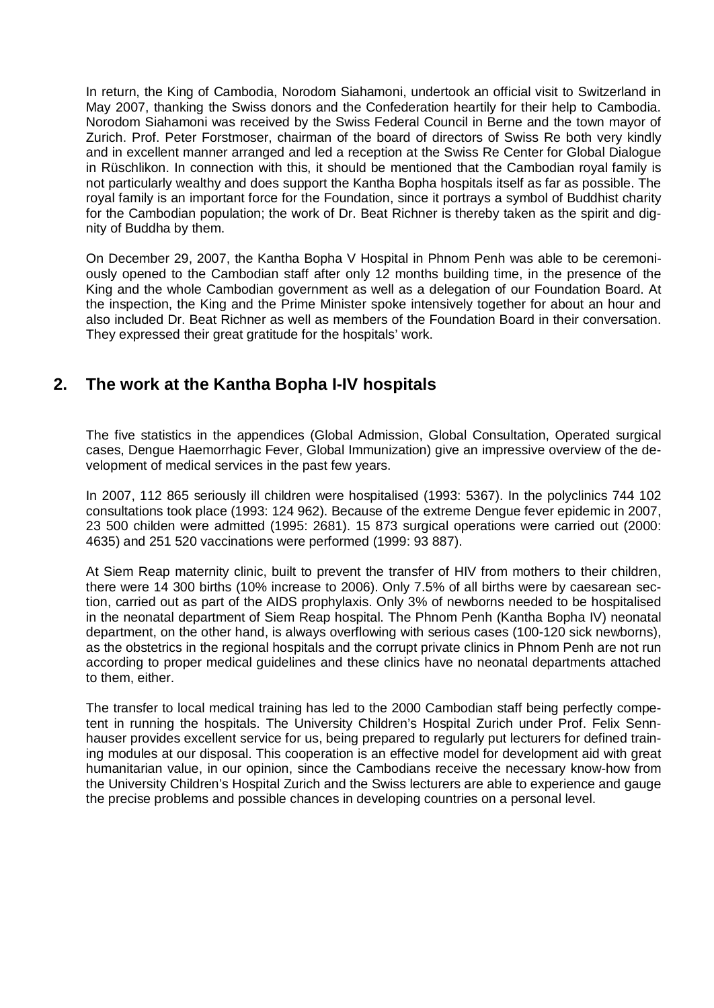In return, the King of Cambodia, Norodom Siahamoni, undertook an official visit to Switzerland in May 2007, thanking the Swiss donors and the Confederation heartily for their help to Cambodia. Norodom Siahamoni was received by the Swiss Federal Council in Berne and the town mayor of Zurich. Prof. Peter Forstmoser, chairman of the board of directors of Swiss Re both very kindly and in excellent manner arranged and led a reception at the Swiss Re Center for Global Dialogue in Rüschlikon. In connection with this, it should be mentioned that the Cambodian royal family is not particularly wealthy and does support the Kantha Bopha hospitals itself as far as possible. The royal family is an important force for the Foundation, since it portrays a symbol of Buddhist charity for the Cambodian population; the work of Dr. Beat Richner is thereby taken as the spirit and dignity of Buddha by them.

On December 29, 2007, the Kantha Bopha V Hospital in Phnom Penh was able to be ceremoniously opened to the Cambodian staff after only 12 months building time, in the presence of the King and the whole Cambodian government as well as a delegation of our Foundation Board. At the inspection, the King and the Prime Minister spoke intensively together for about an hour and also included Dr. Beat Richner as well as members of the Foundation Board in their conversation. They expressed their great gratitude for the hospitals' work.

### **2. The work at the Kantha Bopha I-IV hospitals**

The five statistics in the appendices (Global Admission, Global Consultation, Operated surgical cases, Dengue Haemorrhagic Fever, Global Immunization) give an impressive overview of the development of medical services in the past few years.

In 2007, 112 865 seriously ill children were hospitalised (1993: 5367). In the polyclinics 744 102 consultations took place (1993: 124 962). Because of the extreme Dengue fever epidemic in 2007, 23 500 childen were admitted (1995: 2681). 15 873 surgical operations were carried out (2000: 4635) and 251 520 vaccinations were performed (1999: 93 887).

At Siem Reap maternity clinic, built to prevent the transfer of HIV from mothers to their children, there were 14 300 births (10% increase to 2006). Only 7.5% of all births were by caesarean section, carried out as part of the AIDS prophylaxis. Only 3% of newborns needed to be hospitalised in the neonatal department of Siem Reap hospital. The Phnom Penh (Kantha Bopha IV) neonatal department, on the other hand, is always overflowing with serious cases (100-120 sick newborns), as the obstetrics in the regional hospitals and the corrupt private clinics in Phnom Penh are not run according to proper medical guidelines and these clinics have no neonatal departments attached to them, either.

The transfer to local medical training has led to the 2000 Cambodian staff being perfectly competent in running the hospitals. The University Children's Hospital Zurich under Prof. Felix Sennhauser provides excellent service for us, being prepared to regularly put lecturers for defined training modules at our disposal. This cooperation is an effective model for development aid with great humanitarian value, in our opinion, since the Cambodians receive the necessary know-how from the University Children's Hospital Zurich and the Swiss lecturers are able to experience and gauge the precise problems and possible chances in developing countries on a personal level.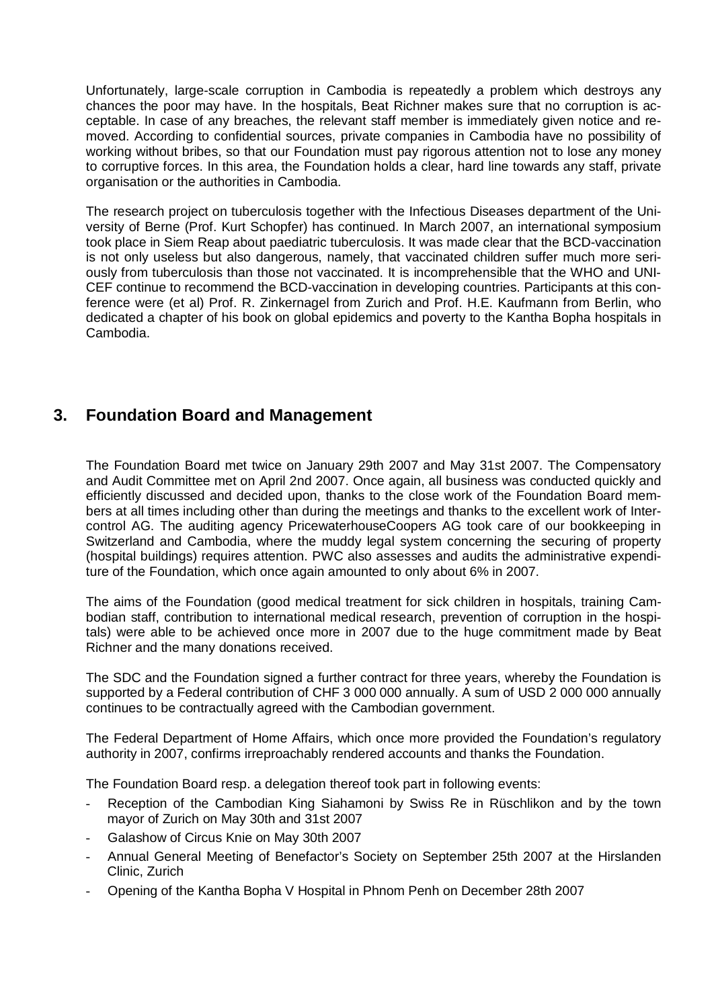Unfortunately, large-scale corruption in Cambodia is repeatedly a problem which destroys any chances the poor may have. In the hospitals, Beat Richner makes sure that no corruption is acceptable. In case of any breaches, the relevant staff member is immediately given notice and removed. According to confidential sources, private companies in Cambodia have no possibility of working without bribes, so that our Foundation must pay rigorous attention not to lose any money to corruptive forces. In this area, the Foundation holds a clear, hard line towards any staff, private organisation or the authorities in Cambodia.

The research project on tuberculosis together with the Infectious Diseases department of the University of Berne (Prof. Kurt Schopfer) has continued. In March 2007, an international symposium took place in Siem Reap about paediatric tuberculosis. It was made clear that the BCD-vaccination is not only useless but also dangerous, namely, that vaccinated children suffer much more seriously from tuberculosis than those not vaccinated. It is incomprehensible that the WHO and UNI-CEF continue to recommend the BCD-vaccination in developing countries. Participants at this conference were (et al) Prof. R. Zinkernagel from Zurich and Prof. H.E. Kaufmann from Berlin, who dedicated a chapter of his book on global epidemics and poverty to the Kantha Bopha hospitals in Cambodia.

### **3. Foundation Board and Management**

The Foundation Board met twice on January 29th 2007 and May 31st 2007. The Compensatory and Audit Committee met on April 2nd 2007. Once again, all business was conducted quickly and efficiently discussed and decided upon, thanks to the close work of the Foundation Board members at all times including other than during the meetings and thanks to the excellent work of Intercontrol AG. The auditing agency PricewaterhouseCoopers AG took care of our bookkeeping in Switzerland and Cambodia, where the muddy legal system concerning the securing of property (hospital buildings) requires attention. PWC also assesses and audits the administrative expenditure of the Foundation, which once again amounted to only about 6% in 2007.

The aims of the Foundation (good medical treatment for sick children in hospitals, training Cambodian staff, contribution to international medical research, prevention of corruption in the hospitals) were able to be achieved once more in 2007 due to the huge commitment made by Beat Richner and the many donations received.

The SDC and the Foundation signed a further contract for three years, whereby the Foundation is supported by a Federal contribution of CHF 3 000 000 annually. A sum of USD 2 000 000 annually continues to be contractually agreed with the Cambodian government.

The Federal Department of Home Affairs, which once more provided the Foundation's regulatory authority in 2007, confirms irreproachably rendered accounts and thanks the Foundation.

The Foundation Board resp. a delegation thereof took part in following events:

- Reception of the Cambodian King Siahamoni by Swiss Re in Rüschlikon and by the town mayor of Zurich on May 30th and 31st 2007
- Galashow of Circus Knie on May 30th 2007
- Annual General Meeting of Benefactor's Society on September 25th 2007 at the Hirslanden Clinic, Zurich
- Opening of the Kantha Bopha V Hospital in Phnom Penh on December 28th 2007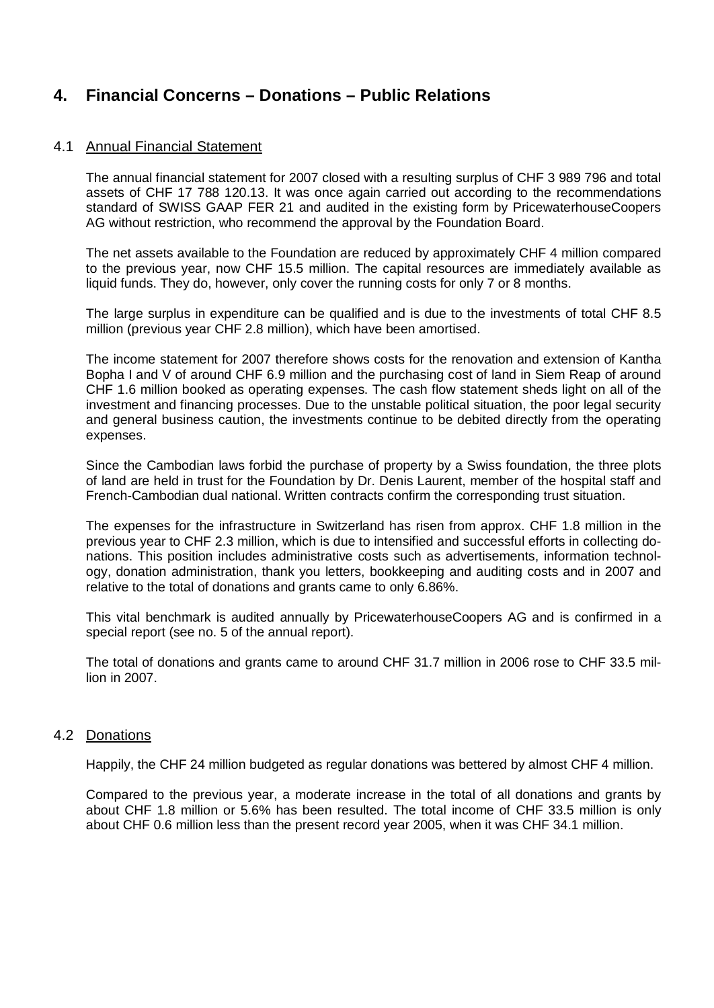## **4. Financial Concerns – Donations – Public Relations**

#### 4.1 Annual Financial Statement

The annual financial statement for 2007 closed with a resulting surplus of CHF 3 989 796 and total assets of CHF 17 788 120.13. It was once again carried out according to the recommendations standard of SWISS GAAP FER 21 and audited in the existing form by PricewaterhouseCoopers AG without restriction, who recommend the approval by the Foundation Board.

The net assets available to the Foundation are reduced by approximately CHF 4 million compared to the previous year, now CHF 15.5 million. The capital resources are immediately available as liquid funds. They do, however, only cover the running costs for only 7 or 8 months.

The large surplus in expenditure can be qualified and is due to the investments of total CHF 8.5 million (previous year CHF 2.8 million), which have been amortised.

The income statement for 2007 therefore shows costs for the renovation and extension of Kantha Bopha I and V of around CHF 6.9 million and the purchasing cost of land in Siem Reap of around CHF 1.6 million booked as operating expenses. The cash flow statement sheds light on all of the investment and financing processes. Due to the unstable political situation, the poor legal security and general business caution, the investments continue to be debited directly from the operating expenses.

Since the Cambodian laws forbid the purchase of property by a Swiss foundation, the three plots of land are held in trust for the Foundation by Dr. Denis Laurent, member of the hospital staff and French-Cambodian dual national. Written contracts confirm the corresponding trust situation.

The expenses for the infrastructure in Switzerland has risen from approx. CHF 1.8 million in the previous year to CHF 2.3 million, which is due to intensified and successful efforts in collecting donations. This position includes administrative costs such as advertisements, information technology, donation administration, thank you letters, bookkeeping and auditing costs and in 2007 and relative to the total of donations and grants came to only 6.86%.

This vital benchmark is audited annually by PricewaterhouseCoopers AG and is confirmed in a special report (see no. 5 of the annual report).

The total of donations and grants came to around CHF 31.7 million in 2006 rose to CHF 33.5 million in 2007.

#### 4.2 Donations

Happily, the CHF 24 million budgeted as regular donations was bettered by almost CHF 4 million.

Compared to the previous year, a moderate increase in the total of all donations and grants by about CHF 1.8 million or 5.6% has been resulted. The total income of CHF 33.5 million is only about CHF 0.6 million less than the present record year 2005, when it was CHF 34.1 million.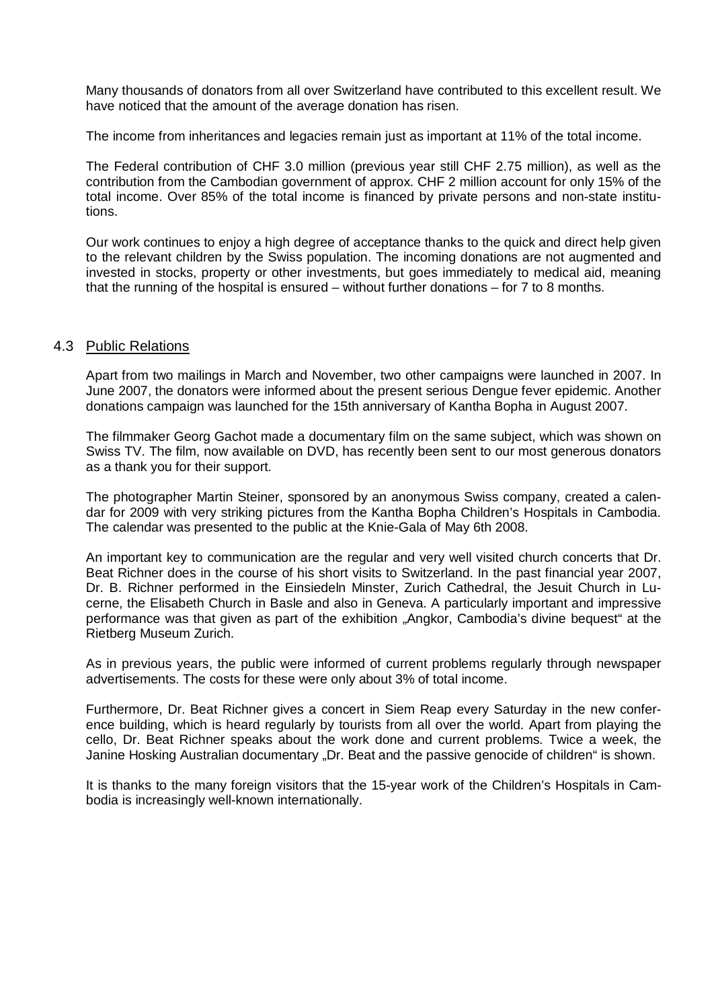Many thousands of donators from all over Switzerland have contributed to this excellent result. We have noticed that the amount of the average donation has risen.

The income from inheritances and legacies remain just as important at 11% of the total income.

The Federal contribution of CHF 3.0 million (previous year still CHF 2.75 million), as well as the contribution from the Cambodian government of approx. CHF 2 million account for only 15% of the total income. Over 85% of the total income is financed by private persons and non-state institutions.

Our work continues to enjoy a high degree of acceptance thanks to the quick and direct help given to the relevant children by the Swiss population. The incoming donations are not augmented and invested in stocks, property or other investments, but goes immediately to medical aid, meaning that the running of the hospital is ensured – without further donations – for 7 to 8 months.

#### 4.3 Public Relations

Apart from two mailings in March and November, two other campaigns were launched in 2007. In June 2007, the donators were informed about the present serious Dengue fever epidemic. Another donations campaign was launched for the 15th anniversary of Kantha Bopha in August 2007.

The filmmaker Georg Gachot made a documentary film on the same subject, which was shown on Swiss TV. The film, now available on DVD, has recently been sent to our most generous donators as a thank you for their support.

The photographer Martin Steiner, sponsored by an anonymous Swiss company, created a calendar for 2009 with very striking pictures from the Kantha Bopha Children's Hospitals in Cambodia. The calendar was presented to the public at the Knie-Gala of May 6th 2008.

An important key to communication are the regular and very well visited church concerts that Dr. Beat Richner does in the course of his short visits to Switzerland. In the past financial year 2007, Dr. B. Richner performed in the Einsiedeln Minster, Zurich Cathedral, the Jesuit Church in Lucerne, the Elisabeth Church in Basle and also in Geneva. A particularly important and impressive performance was that given as part of the exhibition "Angkor, Cambodia's divine bequest" at the Rietberg Museum Zurich.

As in previous years, the public were informed of current problems regularly through newspaper advertisements. The costs for these were only about 3% of total income.

Furthermore, Dr. Beat Richner gives a concert in Siem Reap every Saturday in the new conference building, which is heard regularly by tourists from all over the world. Apart from playing the cello, Dr. Beat Richner speaks about the work done and current problems. Twice a week, the Janine Hosking Australian documentary "Dr. Beat and the passive genocide of children" is shown.

It is thanks to the many foreign visitors that the 15-year work of the Children's Hospitals in Cambodia is increasingly well-known internationally.